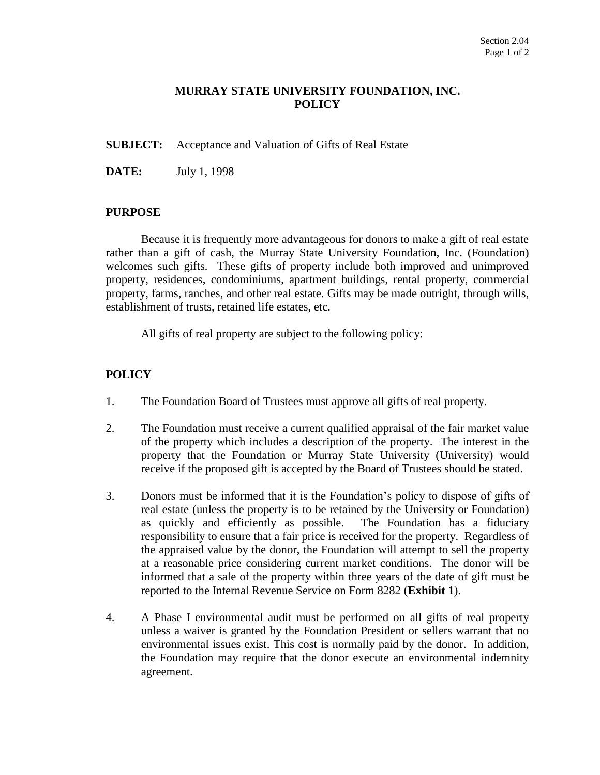# **MURRAY STATE UNIVERSITY FOUNDATION, INC. POLICY**

**SUBJECT:** Acceptance and Valuation of Gifts of Real Estate

**DATE:** July 1, 1998

## **PURPOSE**

Because it is frequently more advantageous for donors to make a gift of real estate rather than a gift of cash, the Murray State University Foundation, Inc. (Foundation) welcomes such gifts. These gifts of property include both improved and unimproved property, residences, condominiums, apartment buildings, rental property, commercial property, farms, ranches, and other real estate. Gifts may be made outright, through wills, establishment of trusts, retained life estates, etc.

All gifts of real property are subject to the following policy:

# **POLICY**

- 1. The Foundation Board of Trustees must approve all gifts of real property.
- 2. The Foundation must receive a current qualified appraisal of the fair market value of the property which includes a description of the property. The interest in the property that the Foundation or Murray State University (University) would receive if the proposed gift is accepted by the Board of Trustees should be stated.
- 3. Donors must be informed that it is the Foundation's policy to dispose of gifts of real estate (unless the property is to be retained by the University or Foundation) as quickly and efficiently as possible. The Foundation has a fiduciary responsibility to ensure that a fair price is received for the property. Regardless of the appraised value by the donor, the Foundation will attempt to sell the property at a reasonable price considering current market conditions. The donor will be informed that a sale of the property within three years of the date of gift must be reported to the Internal Revenue Service on Form 8282 (**Exhibit 1**).
- 4. A Phase I environmental audit must be performed on all gifts of real property unless a waiver is granted by the Foundation President or sellers warrant that no environmental issues exist. This cost is normally paid by the donor. In addition, the Foundation may require that the donor execute an environmental indemnity agreement.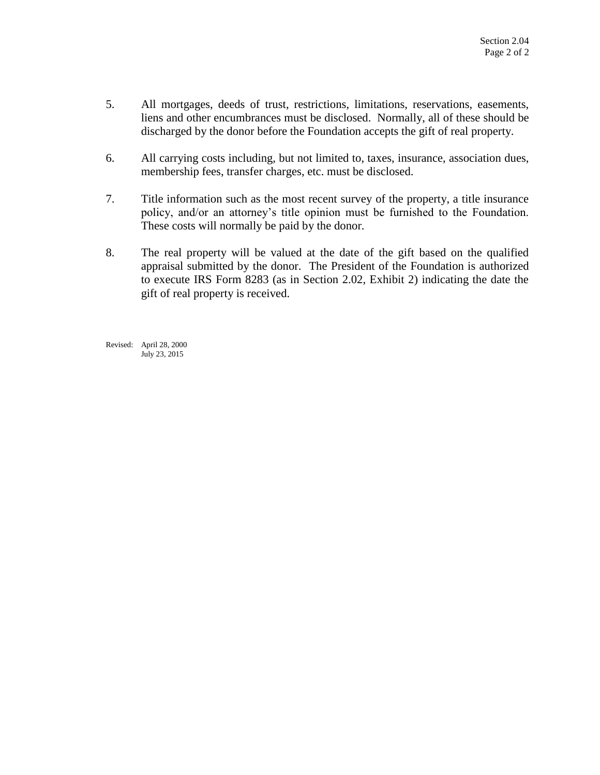- 5. All mortgages, deeds of trust, restrictions, limitations, reservations, easements, liens and other encumbrances must be disclosed. Normally, all of these should be discharged by the donor before the Foundation accepts the gift of real property.
- 6. All carrying costs including, but not limited to, taxes, insurance, association dues, membership fees, transfer charges, etc. must be disclosed.
- 7. Title information such as the most recent survey of the property, a title insurance policy, and/or an attorney's title opinion must be furnished to the Foundation. These costs will normally be paid by the donor.
- 8. The real property will be valued at the date of the gift based on the qualified appraisal submitted by the donor. The President of the Foundation is authorized to execute IRS Form 8283 (as in Section 2.02, Exhibit 2) indicating the date the gift of real property is received.

Revised: April 28, 2000 July 23, 2015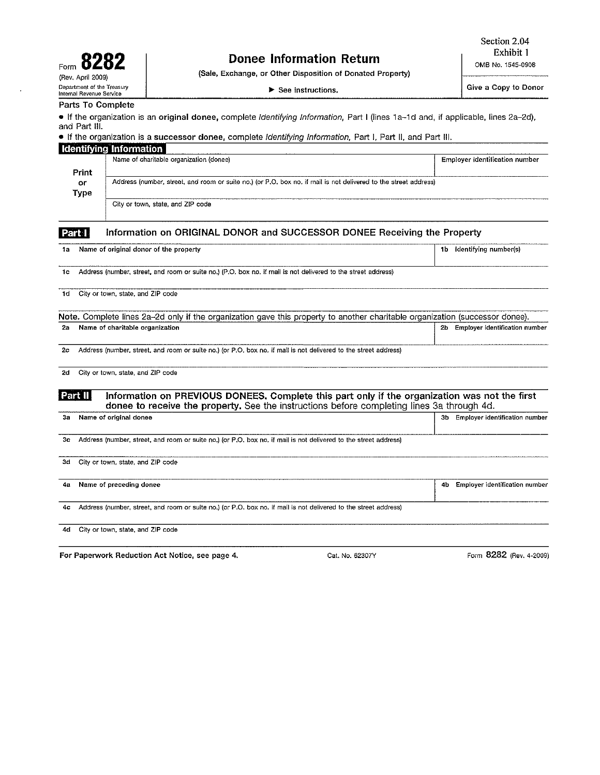| 828<br>Form                                            |  |  |  |  |
|--------------------------------------------------------|--|--|--|--|
| (Rev. April 2009)                                      |  |  |  |  |
| Department of the Treasury<br>Internal Revenue Service |  |  |  |  |

# **Donee Information Return**

 $\blacktriangleright$  See instructions.

(Sale, Exchange, or Other Disposition of Donated Property)

Give a Copy to Donor

#### Parts To Complete

• If the organization is an original donee, complete Identifying Information, Part I (lines 1a-1d and, if applicable, lines 2a-2d), and Part III.

## • If the organization is a successor donee, complete Identifying Information, Part I, Part II, and Part III.

|               |                                                                                                                  | <b>Identifying Information</b>                                                                                                                                                              |                                       |  |  |  |  |  |  |  |  |
|---------------|------------------------------------------------------------------------------------------------------------------|---------------------------------------------------------------------------------------------------------------------------------------------------------------------------------------------|---------------------------------------|--|--|--|--|--|--|--|--|
|               | Print                                                                                                            | Name of charitable organization (donee)                                                                                                                                                     | <b>Employer identification number</b> |  |  |  |  |  |  |  |  |
|               | or<br>Type                                                                                                       | Address (number, street, and room or suite no.) (or P.O. box no. if mail is not delivered to the street address)                                                                            |                                       |  |  |  |  |  |  |  |  |
|               |                                                                                                                  | City or town, state, and ZIP code                                                                                                                                                           |                                       |  |  |  |  |  |  |  |  |
| <b>Part I</b> |                                                                                                                  | Information on ORIGINAL DONOR and SUCCESSOR DONEE Receiving the Property                                                                                                                    |                                       |  |  |  |  |  |  |  |  |
| 1a            |                                                                                                                  | Name of original donor of the property                                                                                                                                                      | Identifying number(s)<br>1b           |  |  |  |  |  |  |  |  |
| 1c            |                                                                                                                  | Address (number, street, and room or suite no.) (P.O. box no. if mail is not delivered to the street address)                                                                               |                                       |  |  |  |  |  |  |  |  |
| 1d            |                                                                                                                  | City or town, state, and ZIP code                                                                                                                                                           |                                       |  |  |  |  |  |  |  |  |
|               |                                                                                                                  | Note. Complete lines 2a-2d only if the organization gave this property to another charitable organization (successor donee).                                                                |                                       |  |  |  |  |  |  |  |  |
| 2a            |                                                                                                                  | Name of charitable organization                                                                                                                                                             | 2b Employer identification number     |  |  |  |  |  |  |  |  |
| 2с            | Address (number, street, and room or suite no.) (or P.O. box no. if mail is not delivered to the street address) |                                                                                                                                                                                             |                                       |  |  |  |  |  |  |  |  |
| 2d            |                                                                                                                  | City or town, state, and ZIP code                                                                                                                                                           |                                       |  |  |  |  |  |  |  |  |
| Part II       |                                                                                                                  | Information on PREVIOUS DONEES. Complete this part only if the organization was not the first<br>donee to receive the property. See the instructions before completing lines 3a through 4d. |                                       |  |  |  |  |  |  |  |  |
| Зa            |                                                                                                                  | Name of original donee                                                                                                                                                                      | Employer identification number<br>3b  |  |  |  |  |  |  |  |  |
| 3с            |                                                                                                                  | Address (number, street, and room or suite no.) (or P.O. box no. if mail is not delivered to the street address)                                                                            |                                       |  |  |  |  |  |  |  |  |
| 3d            |                                                                                                                  | City or town, state, and ZIP code                                                                                                                                                           |                                       |  |  |  |  |  |  |  |  |
| 4а            |                                                                                                                  | Name of preceding donee                                                                                                                                                                     | 4b Employer identification number     |  |  |  |  |  |  |  |  |
| 4c            |                                                                                                                  | Address (number, street, and room or suite no.) (or P.O. box no. if mail is not delivered to the street address)                                                                            |                                       |  |  |  |  |  |  |  |  |
| 4d            |                                                                                                                  | City or town, state, and ZIP code                                                                                                                                                           |                                       |  |  |  |  |  |  |  |  |
|               |                                                                                                                  |                                                                                                                                                                                             |                                       |  |  |  |  |  |  |  |  |

For Paperwork Reduction Act Notice, see page 4.

Cat. No. 62307Y

Form 8282 (Rev. 4-2009)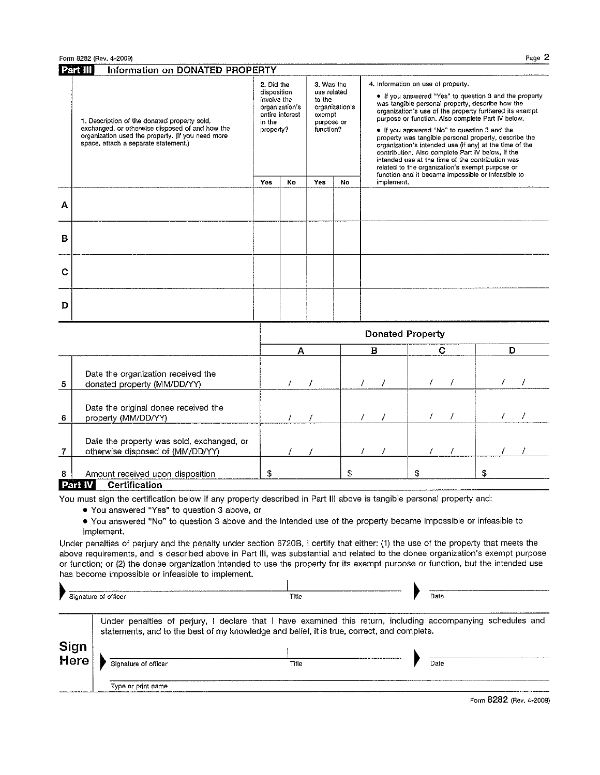Form 8282 (Rev. 4-2009)

|   | Part III<br>Information on DONATED PROPERTY                                                                                                                                                                                                                                                           |                                                                 |                                   |                                                                          |                |            |                                                                                                                                                                                                                                                                                                                                                                                                                                                                                                                                                                                                                                                      |    |   |  |
|---|-------------------------------------------------------------------------------------------------------------------------------------------------------------------------------------------------------------------------------------------------------------------------------------------------------|-----------------------------------------------------------------|-----------------------------------|--------------------------------------------------------------------------|----------------|------------|------------------------------------------------------------------------------------------------------------------------------------------------------------------------------------------------------------------------------------------------------------------------------------------------------------------------------------------------------------------------------------------------------------------------------------------------------------------------------------------------------------------------------------------------------------------------------------------------------------------------------------------------------|----|---|--|
|   | 1. Description of the donated property sold,<br>exchanged, or otherwise disposed of and how the<br>organization used the property. (If you need more<br>space, attach a separate statement.)                                                                                                          | 2. Did the<br>disposition<br>involve the<br>in the<br>property? | organization's<br>entire interest | 3. Was the<br>use related<br>to the<br>exempt<br>purpose or<br>function? | organization's |            | 4. Information on use of property.<br>. If you answered "Yes" to question 3 and the property<br>was tangible personal property, describe how the<br>organization's use of the property furthered its exempt<br>purpose or function. Also complete Part IV below.<br>If you answered "No" to question 3 and the<br>property was tangible personal property, describe the<br>organization's intended use (if any) at the time of the<br>contribution. Also complete Part IV below, if the<br>intended use at the time of the contribution was<br>related to the organization's exempt purpose or<br>function and it became impossible or infeasible to |    |   |  |
|   |                                                                                                                                                                                                                                                                                                       | Yes                                                             | No                                | Yes                                                                      | No             | implement. |                                                                                                                                                                                                                                                                                                                                                                                                                                                                                                                                                                                                                                                      |    |   |  |
| А |                                                                                                                                                                                                                                                                                                       |                                                                 |                                   |                                                                          |                |            |                                                                                                                                                                                                                                                                                                                                                                                                                                                                                                                                                                                                                                                      |    |   |  |
| в |                                                                                                                                                                                                                                                                                                       |                                                                 |                                   |                                                                          |                |            |                                                                                                                                                                                                                                                                                                                                                                                                                                                                                                                                                                                                                                                      |    |   |  |
| С |                                                                                                                                                                                                                                                                                                       |                                                                 |                                   |                                                                          |                |            |                                                                                                                                                                                                                                                                                                                                                                                                                                                                                                                                                                                                                                                      |    |   |  |
| D |                                                                                                                                                                                                                                                                                                       |                                                                 |                                   |                                                                          |                |            |                                                                                                                                                                                                                                                                                                                                                                                                                                                                                                                                                                                                                                                      |    |   |  |
|   |                                                                                                                                                                                                                                                                                                       | <b>Donated Property</b>                                         |                                   |                                                                          |                |            |                                                                                                                                                                                                                                                                                                                                                                                                                                                                                                                                                                                                                                                      |    |   |  |
|   |                                                                                                                                                                                                                                                                                                       |                                                                 | А                                 |                                                                          |                | в          | c                                                                                                                                                                                                                                                                                                                                                                                                                                                                                                                                                                                                                                                    |    | D |  |
| 5 | Date the organization received the<br>donated property (MM/DD/YY)                                                                                                                                                                                                                                     |                                                                 |                                   | 7                                                                        |                |            |                                                                                                                                                                                                                                                                                                                                                                                                                                                                                                                                                                                                                                                      |    |   |  |
| 6 | Date the original donee received the<br>property (MM/DD/YY)                                                                                                                                                                                                                                           |                                                                 |                                   |                                                                          |                |            |                                                                                                                                                                                                                                                                                                                                                                                                                                                                                                                                                                                                                                                      |    |   |  |
| 7 | Date the property was sold, exchanged, or<br>otherwise disposed of (MM/DD/YY)                                                                                                                                                                                                                         |                                                                 |                                   |                                                                          |                |            |                                                                                                                                                                                                                                                                                                                                                                                                                                                                                                                                                                                                                                                      |    |   |  |
| 8 | Amount received upon disposition<br>Part IV<br><b>Certification</b>                                                                                                                                                                                                                                   | \$                                                              |                                   |                                                                          | \$             |            | \$                                                                                                                                                                                                                                                                                                                                                                                                                                                                                                                                                                                                                                                   | \$ |   |  |
|   | You must sign the certification below if any property described in Part III above is tangible personal property and:<br>• You answered "Yes" to question 3 above, or<br>. You answered "No" to question 3 above and the intended use of the property became impossible or infeasible to<br>implement. |                                                                 |                                   |                                                                          |                |            |                                                                                                                                                                                                                                                                                                                                                                                                                                                                                                                                                                                                                                                      |    |   |  |

Under penalties of perjury and the penalty under section 6720B, I certify that either: (1) the use of the property that meets the above requirements, and is described above in Part III, was substantial and related to the donee organization's exempt purpose or function; or (2) the donee organization intended to use the property for its exempt purpose or function, but the intended use has become impossible or infeasible to implement.  $\mathbf{r}$ 

|              | Signature of officer | Title                                                                                               | Date                                                                                                                 |  |
|--------------|----------------------|-----------------------------------------------------------------------------------------------------|----------------------------------------------------------------------------------------------------------------------|--|
| Sign<br>Here | Signature of officer | statements, and to the best of my knowledge and belief, it is true, correct, and complete.<br>Title | Under penalties of perjury, I declare that I have examined this return, including accompanying schedules and<br>Date |  |
|              | Type or print name   |                                                                                                     |                                                                                                                      |  |

Form 8282 (Rev. 4-2009)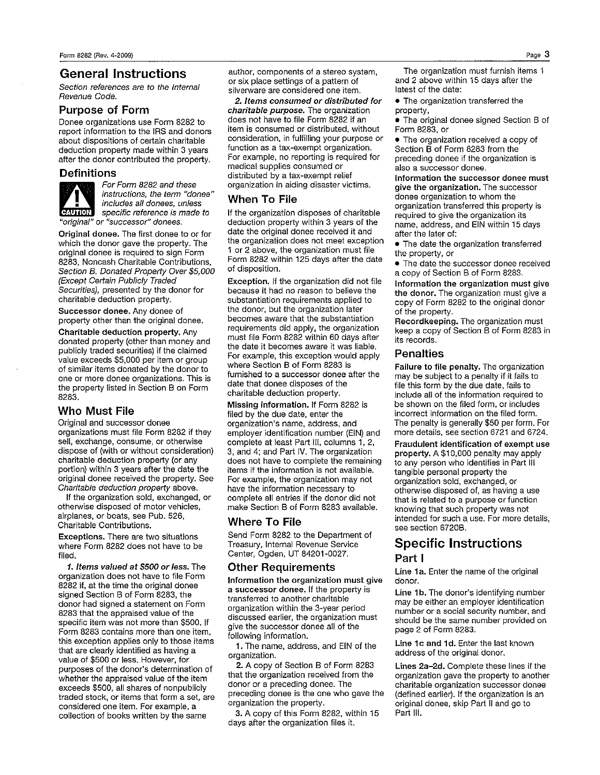## **General Instructions**

Section references are to the Internal Revenue Code.

### **Purpose of Form**

Donee organizations use Form 8282 to report information to the IRS and donors about dispositions of certain charitable deduction property made within 3 years after the donor contributed the property.

#### **Definitions**



For Form 8282 and these instructions, the term "donee" includes all donees, unless specific reference is made to "original" or "successor" donees.

Original donee. The first donee to or for which the donor gave the property. The original donee is required to sign Form 8283, Noncash Charitable Contributions, Section B. Donated Property Over \$5,000 (Except Certain Publicly Traded Securities), presented by the donor for charitable deduction property.

Successor donee, Any donee of property other than the original donee.

Charitable deduction property, Any donated property (other than money and publicly traded securities) if the claimed value exceeds \$5,000 per item or group of similar items donated by the donor to one or more donee organizations. This is the property listed in Section B on Form 8283.

## Who Must File

Original and successor donee organizations must file Form 8282 if they sell, exchange, consume, or otherwise dispose of (with or without consideration) charitable deduction property (or any portion) within 3 years after the date the original donee received the property. See Charitable deduction property above.

If the organization sold, exchanged, or otherwise disposed of motor vehicles, airplanes, or boats, see Pub. 526, Charitable Contributions.

Exceptions. There are two situations where Form 8282 does not have to be filed.

1. Items valued at \$500 or less. The organization does not have to file Form 8282 if, at the time the original donee signed Section B of Form 8283, the donor had signed a statement on Form 8283 that the appraised value of the specific item was not more than \$500. If Form 8283 contains more than one item, this exception applies only to those items that are clearly identified as having a value of \$500 or less. However, for purposes of the donor's determination of whether the appraised value of the item exceeds \$500, all shares of nonpublicly traded stock, or items that form a set, are considered one item. For example, a collection of books written by the same

author, components of a stereo system, or six place settings of a pattern of silverware are considered one item.

2. Items consumed or distributed for charitable purpose. The organization does not have to file Form 8282 if an item is consumed or distributed, without consideration, in fulfilling your purpose or function as a tax-exempt organization. For example, no reporting is required for medical supplies consumed or distributed by a tax-exempt relief organization in aiding disaster victims.

## **When To File**

If the organization disposes of charitable deduction property within 3 years of the date the original donee received it and the organization does not meet exception 1 or 2 above, the organization must file Form 8282 within 125 days after the date of disposition.

Exception. If the organization did not file because it had no reason to believe the substantiation requirements applied to the donor, but the organization later becomes aware that the substantiation requirements did apply, the organization must file Form 8282 within 60 days after the date it becomes aware it was liable. For example, this exception would apply where Section B of Form 8283 is furnished to a successor donee after the date that donee disposes of the charitable deduction property.

Missing information. If Form 8282 is filed by the due date, enter the organization's name, address, and employer identification number (EIN) and complete at least Part III, columns 1, 2, 3, and 4; and Part IV. The organization does not have to complete the remaining items if the information is not available. For example, the organization may not have the information necessary to complete all entries if the donor did not make Section B of Form 8283 available.

### **Where To File**

Send Form 8282 to the Department of Treasury, Internal Revenue Service Center, Ogden, UT 84201-0027.

#### **Other Requirements**

Information the organization must give a successor donee. If the property is transferred to another charitable organization within the 3-year period discussed earlier, the organization must give the successor donee all of the following information.

1. The name, address, and EIN of the organization.

2. A copy of Section B of Form 8283 that the organization received from the donor or a preceding donee. The preceding donee is the one who gave the organization the property.

3. A copy of this Form 8282, within 15 days after the organization files it.

The organization must furnish items 1 and 2 above within 15 days after the latest of the date:

• The organization transferred the property,

• The original donee signed Section B of Form 8283, or

• The organization received a copy of Section B of Form 8283 from the preceding donee if the organization is also a successor donee.

Information the successor donee must give the organization. The successor donee organization to whom the organization transferred this property is required to give the organization its name, address, and EIN within 15 days after the later of:

• The date the organization transferred the property, or

• The date the successor donee received a copy of Section B of Form 8283.

Information the organization must give the donor. The organization must give a copy of Form 8282 to the original donor of the property.

Recordkeeping. The organization must keep a copy of Section B of Form 8283 in its records.

#### **Penalties**

Failure to file penalty. The organization may be subject to a penalty if it fails to file this form by the due date, fails to include all of the information required to be shown on the filed form, or includes incorrect information on the filed form. The penalty is generally \$50 per form. For more details, see section 6721 and 6724.

Fraudulent identification of exempt use property. A \$10,000 penalty may apply to any person who identifies in Part III tangible personal property the organization sold, exchanged, or otherwise disposed of, as having a use that is related to a purpose or function knowing that such property was not intended for such a use. For more details, see section 6720B.

# **Specific Instructions** Part I

Line 1a. Enter the name of the original donor.

Line 1b. The donor's identifying number may be either an employer identification number or a social security number, and should be the same number provided on page 2 of Form 8283.

Line 1c and 1d. Enter the last known address of the original donor.

Lines 2a-2d. Complete these lines if the organization gave the property to another charitable organization successor donee (defined earlier). If the organization is an original donee, skip Part II and go to Part III.